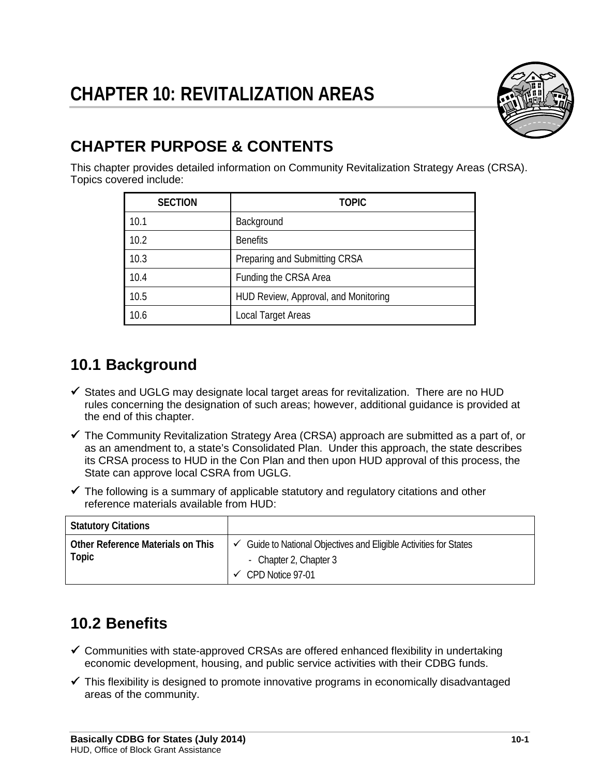

# **CHAPTER PURPOSE & CONTENTS**

This chapter provides detailed information on Community Revitalization Strategy Areas (CRSA). Topics covered include:

| <b>SECTION</b> | <b>TOPIC</b>                         |  |
|----------------|--------------------------------------|--|
| 10.1           | Background                           |  |
| 10.2           | <b>Benefits</b>                      |  |
| 10.3           | Preparing and Submitting CRSA        |  |
| 10.4           | Funding the CRSA Area                |  |
| 10.5           | HUD Review, Approval, and Monitoring |  |
| 10.6           | Local Target Areas                   |  |

# **10.1 Background**

- $\checkmark$  States and UGLG may designate local target areas for revitalization. There are no HUD rules concerning the designation of such areas; however, additional guidance is provided at the end of this chapter.
- $\checkmark$  The Community Revitalization Strategy Area (CRSA) approach are submitted as a part of, or as an amendment to, a state's Consolidated Plan. Under this approach, the state describes its CRSA process to HUD in the Con Plan and then upon HUD approval of this process, the State can approve local CSRA from UGLG.
- $\checkmark$  The following is a summary of applicable statutory and regulatory citations and other reference materials available from HUD:

| <b>Statutory Citations</b>                 |                                                                                                                    |
|--------------------------------------------|--------------------------------------------------------------------------------------------------------------------|
| Other Reference Materials on This<br>Topic | Guide to National Objectives and Eligible Activities for States<br>✓<br>- Chapter 2, Chapter 3<br>CPD Notice 97-01 |

# **10.2 Benefits**

- $\checkmark$  Communities with state-approved CRSAs are offered enhanced flexibility in undertaking economic development, housing, and public service activities with their CDBG funds.
- $\checkmark$  This flexibility is designed to promote innovative programs in economically disadvantaged areas of the community.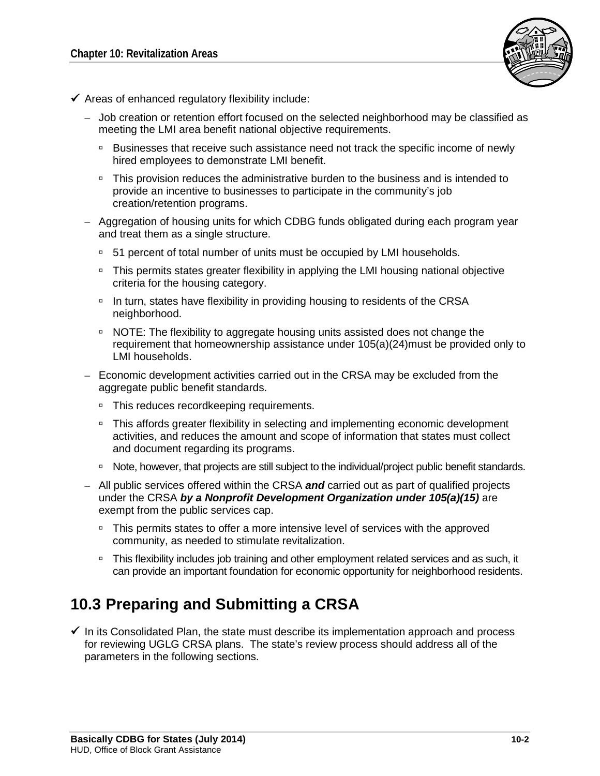

- $\checkmark$  Areas of enhanced regulatory flexibility include:
	- Job creation or retention effort focused on the selected neighborhood may be classified as meeting the LMI area benefit national objective requirements.
		- **Businesses that receive such assistance need not track the specific income of newly** hired employees to demonstrate LMI benefit.
		- □ This provision reduces the administrative burden to the business and is intended to provide an incentive to businesses to participate in the community's job creation/retention programs.
	- Aggregation of housing units for which CDBG funds obligated during each program year and treat them as a single structure.
		- <sup>0</sup> 51 percent of total number of units must be occupied by LMI households.
		- □ This permits states greater flexibility in applying the LMI housing national objective criteria for the housing category.
		- <sup>D</sup> In turn, states have flexibility in providing housing to residents of the CRSA neighborhood.
		- NOTE: The flexibility to aggregate housing units assisted does not change the requirement that homeownership assistance under 105(a)(24)must be provided only to LMI households.
	- Economic development activities carried out in the CRSA may be excluded from the aggregate public benefit standards.
		- □ This reduces recordkeeping requirements.
		- □ This affords greater flexibility in selecting and implementing economic development activities, and reduces the amount and scope of information that states must collect and document regarding its programs.
		- Note, however, that projects are still subject to the individual/project public benefit standards.
	- All public services offered within the CRSA *and* carried out as part of qualified projects under the CRSA *by a Nonprofit Development Organization under 105(a)(15)* are exempt from the public services cap.
		- <sup>n</sup> This permits states to offer a more intensive level of services with the approved community, as needed to stimulate revitalization.
		- □ This flexibility includes job training and other employment related services and as such, it can provide an important foundation for economic opportunity for neighborhood residents.

# **10.3 Preparing and Submitting a CRSA**

 $\checkmark$  In its Consolidated Plan, the state must describe its implementation approach and process for reviewing UGLG CRSA plans. The state's review process should address all of the parameters in the following sections.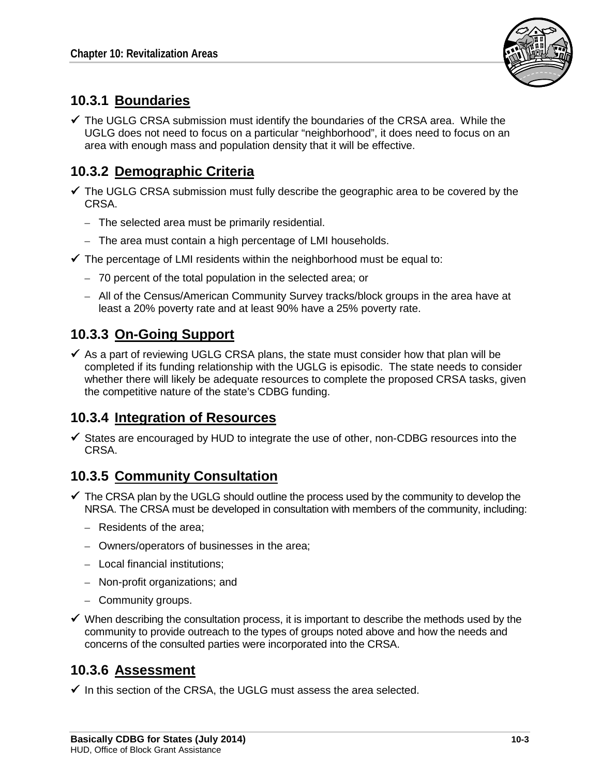

# **10.3.1 Boundaries**

 $\checkmark$  The UGLG CRSA submission must identify the boundaries of the CRSA area. While the UGLG does not need to focus on a particular "neighborhood", it does need to focus on an area with enough mass and population density that it will be effective.

# **10.3.2 Demographic Criteria**

- $\checkmark$  The UGLG CRSA submission must fully describe the geographic area to be covered by the CRSA.
	- The selected area must be primarily residential.
	- The area must contain a high percentage of LMI households.
- $\checkmark$  The percentage of LMI residents within the neighborhood must be equal to:
	- 70 percent of the total population in the selected area; or
	- All of the Census/American Community Survey tracks/block groups in the area have at least a 20% poverty rate and at least 90% have a 25% poverty rate.

# **10.3.3 On-Going Support**

 $\checkmark$  As a part of reviewing UGLG CRSA plans, the state must consider how that plan will be completed if its funding relationship with the UGLG is episodic. The state needs to consider whether there will likely be adequate resources to complete the proposed CRSA tasks, given the competitive nature of the state's CDBG funding.

## **10.3.4 Integration of Resources**

 $\checkmark$  States are encouraged by HUD to integrate the use of other, non-CDBG resources into the CRSA.

## **10.3.5 Community Consultation**

- $\checkmark$  The CRSA plan by the UGLG should outline the process used by the community to develop the NRSA. The CRSA must be developed in consultation with members of the community, including:
	- Residents of the area;
	- Owners/operators of businesses in the area;
	- Local financial institutions;
	- Non-profit organizations; and
	- Community groups.
- $\checkmark$  When describing the consultation process, it is important to describe the methods used by the community to provide outreach to the types of groups noted above and how the needs and concerns of the consulted parties were incorporated into the CRSA.

# **10.3.6 Assessment**

 $\checkmark$  In this section of the CRSA, the UGLG must assess the area selected.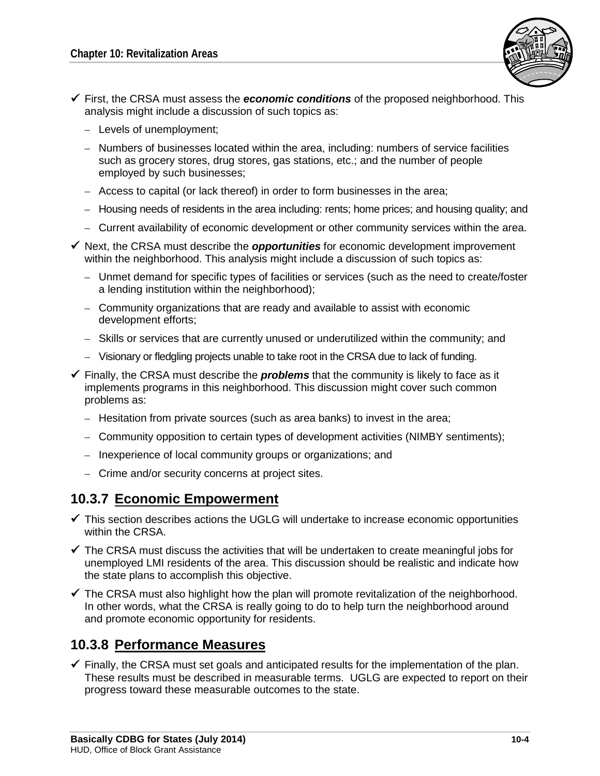

- First, the CRSA must assess the *economic conditions* of the proposed neighborhood. This analysis might include a discussion of such topics as:
	- Levels of unemployment;
	- Numbers of businesses located within the area, including: numbers of service facilities such as grocery stores, drug stores, gas stations, etc.; and the number of people employed by such businesses;
	- Access to capital (or lack thereof) in order to form businesses in the area;
	- Housing needs of residents in the area including: rents; home prices; and housing quality; and
	- Current availability of economic development or other community services within the area.
- $\checkmark$  Next, the CRSA must describe the *opportunities* for economic development improvement within the neighborhood. This analysis might include a discussion of such topics as:
	- Unmet demand for specific types of facilities or services (such as the need to create/foster a lending institution within the neighborhood);
	- Community organizations that are ready and available to assist with economic development efforts;
	- Skills or services that are currently unused or underutilized within the community; and
	- Visionary or fledgling projects unable to take root in the CRSA due to lack of funding.
- $\checkmark$  Finally, the CRSA must describe the **problems** that the community is likely to face as it implements programs in this neighborhood. This discussion might cover such common problems as:
	- Hesitation from private sources (such as area banks) to invest in the area;
	- Community opposition to certain types of development activities (NIMBY sentiments);
	- Inexperience of local community groups or organizations; and
	- Crime and/or security concerns at project sites.

## **10.3.7 Economic Empowerment**

- $\checkmark$  This section describes actions the UGLG will undertake to increase economic opportunities within the CRSA.
- $\checkmark$  The CRSA must discuss the activities that will be undertaken to create meaningful jobs for unemployed LMI residents of the area. This discussion should be realistic and indicate how the state plans to accomplish this objective.
- $\checkmark$  The CRSA must also highlight how the plan will promote revitalization of the neighborhood. In other words, what the CRSA is really going to do to help turn the neighborhood around and promote economic opportunity for residents.

## **10.3.8 Performance Measures**

 $\checkmark$  Finally, the CRSA must set goals and anticipated results for the implementation of the plan. These results must be described in measurable terms. UGLG are expected to report on their progress toward these measurable outcomes to the state.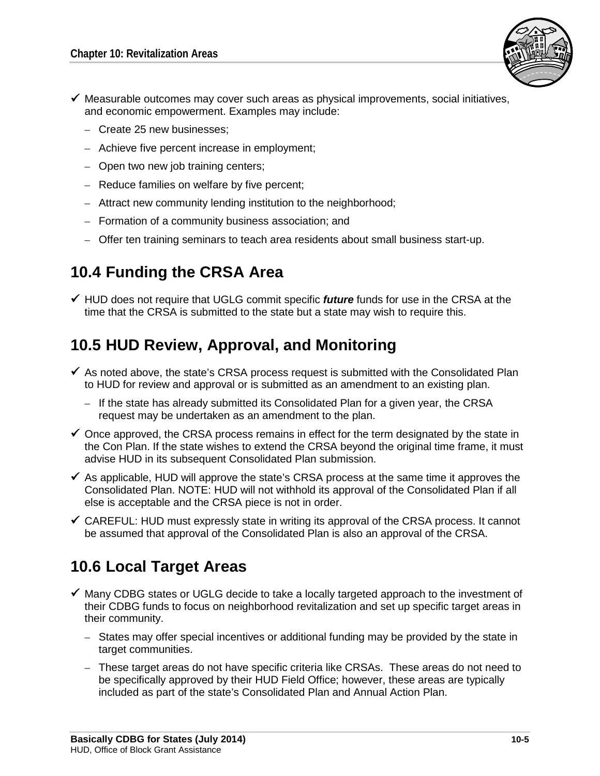

- $\checkmark$  Measurable outcomes may cover such areas as physical improvements, social initiatives, and economic empowerment. Examples may include:
	- Create 25 new businesses;
	- Achieve five percent increase in employment;
	- Open two new job training centers;
	- Reduce families on welfare by five percent;
	- Attract new community lending institution to the neighborhood;
	- Formation of a community business association; and
	- Offer ten training seminars to teach area residents about small business start-up.

# **10.4 Funding the CRSA Area**

 $\checkmark$  HUD does not require that UGLG commit specific *future* funds for use in the CRSA at the time that the CRSA is submitted to the state but a state may wish to require this.

# **10.5 HUD Review, Approval, and Monitoring**

- $\checkmark$  As noted above, the state's CRSA process request is submitted with the Consolidated Plan to HUD for review and approval or is submitted as an amendment to an existing plan.
	- If the state has already submitted its Consolidated Plan for a given year, the CRSA request may be undertaken as an amendment to the plan.
- $\checkmark$  Once approved, the CRSA process remains in effect for the term designated by the state in the Con Plan. If the state wishes to extend the CRSA beyond the original time frame, it must advise HUD in its subsequent Consolidated Plan submission.
- $\checkmark$  As applicable, HUD will approve the state's CRSA process at the same time it approves the Consolidated Plan. NOTE: HUD will not withhold its approval of the Consolidated Plan if all else is acceptable and the CRSA piece is not in order.
- $\checkmark$  CAREFUL: HUD must expressly state in writing its approval of the CRSA process. It cannot be assumed that approval of the Consolidated Plan is also an approval of the CRSA.

# **10.6 Local Target Areas**

- $\checkmark$  Many CDBG states or UGLG decide to take a locally targeted approach to the investment of their CDBG funds to focus on neighborhood revitalization and set up specific target areas in their community.
	- States may offer special incentives or additional funding may be provided by the state in target communities.
	- These target areas do not have specific criteria like CRSAs. These areas do not need to be specifically approved by their HUD Field Office; however, these areas are typically included as part of the state's Consolidated Plan and Annual Action Plan.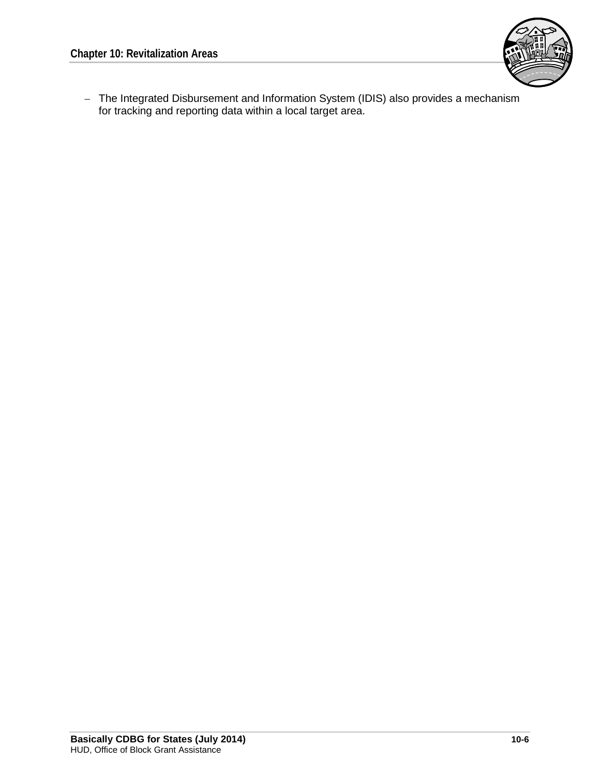

– The Integrated Disbursement and Information System (IDIS) also provides a mechanism for tracking and reporting data within a local target area.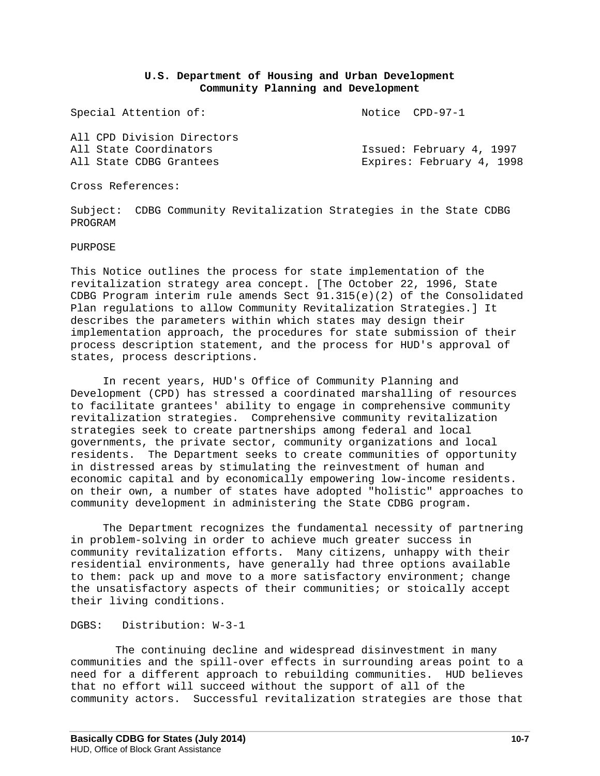## **U.S. Department of Housing and Urban Development Community Planning and Development**

Special Attention of: Notice CPD-97-1

| All CPD Division Directors |                           |
|----------------------------|---------------------------|
| All State Coordinators     | Issued: February 4, 1997  |
| All State CDBG Grantees    | Expires: February 4, 1998 |

Cross References:

Subject: CDBG Community Revitalization Strategies in the State CDBG PROGRAM

PURPOSE

This Notice outlines the process for state implementation of the revitalization strategy area concept. [The October 22, 1996, State CDBG Program interim rule amends Sect 91.315(e)(2) of the Consolidated Plan regulations to allow Community Revitalization Strategies.] It describes the parameters within which states may design their implementation approach, the procedures for state submission of their process description statement, and the process for HUD's approval of states, process descriptions.

 In recent years, HUD's Office of Community Planning and Development (CPD) has stressed a coordinated marshalling of resources to facilitate grantees' ability to engage in comprehensive community revitalization strategies. Comprehensive community revitalization strategies seek to create partnerships among federal and local governments, the private sector, community organizations and local residents. The Department seeks to create communities of opportunity in distressed areas by stimulating the reinvestment of human and economic capital and by economically empowering low-income residents. on their own, a number of states have adopted "holistic" approaches to community development in administering the State CDBG program.

 The Department recognizes the fundamental necessity of partnering in problem-solving in order to achieve much greater success in community revitalization efforts. Many citizens, unhappy with their residential environments, have generally had three options available to them: pack up and move to a more satisfactory environment; change the unsatisfactory aspects of their communities; or stoically accept their living conditions.

### DGBS: Distribution: W-3-1

The continuing decline and widespread disinvestment in many communities and the spill-over effects in surrounding areas point to a need for a different approach to rebuilding communities. HUD believes that no effort will succeed without the support of all of the community actors. Successful revitalization strategies are those that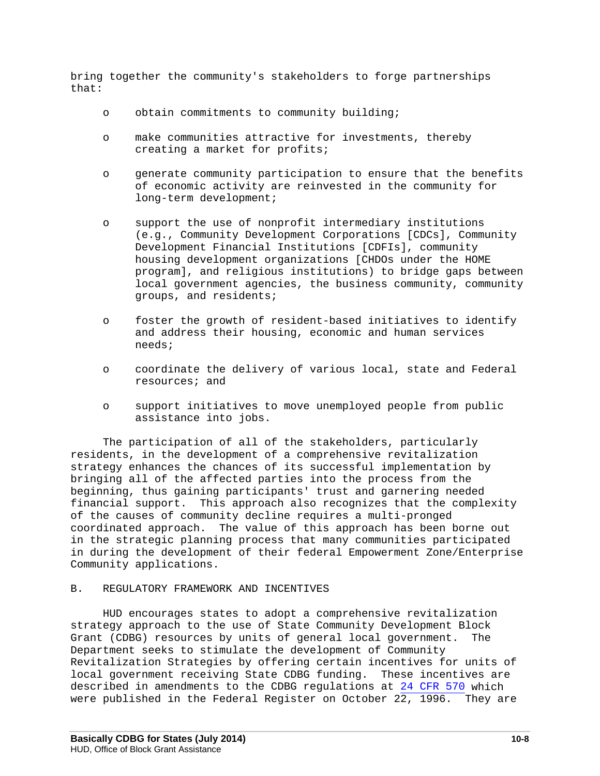bring together the community's stakeholders to forge partnerships that:

- o obtain commitments to community building;
- o make communities attractive for investments, thereby creating a market for profits;
- o generate community participation to ensure that the benefits of economic activity are reinvested in the community for long-term development;
- o support the use of nonprofit intermediary institutions (e.g., Community Development Corporations [CDCs], Community Development Financial Institutions [CDFIs], community housing development organizations [CHDOs under the HOME program], and religious institutions) to bridge gaps between local government agencies, the business community, community groups, and residents;
- o foster the growth of resident-based initiatives to identify and address their housing, economic and human services needs;
- o coordinate the delivery of various local, state and Federal resources; and
- o support initiatives to move unemployed people from public assistance into jobs.

 The participation of all of the stakeholders, particularly residents, in the development of a comprehensive revitalization strategy enhances the chances of its successful implementation by bringing all of the affected parties into the process from the beginning, thus gaining participants' trust and garnering needed financial support. This approach also recognizes that the complexity of the causes of community decline requires a multi-pronged coordinated approach. The value of this approach has been borne out in the strategic planning process that many communities participated in during the development of their federal Empowerment Zone/Enterprise Community applications.

### B. REGULATORY FRAMEWORK AND INCENTIVES

 HUD encourages states to adopt a comprehensive revitalization strategy approach to the use of State Community Development Block Grant (CDBG) resources by units of general local government. The Department seeks to stimulate the development of Community Revitalization Strategies by offering certain incentives for units of local government receiving State CDBG funding. These incentives are described in amendments to the CDBG regulations at [24 CFR 570](http://www.hud.gov/offices/cpd/communitydevelopment/rulesandregs/regulations/index.cfm) which were published in the Federal Register on October 22, 1996. They are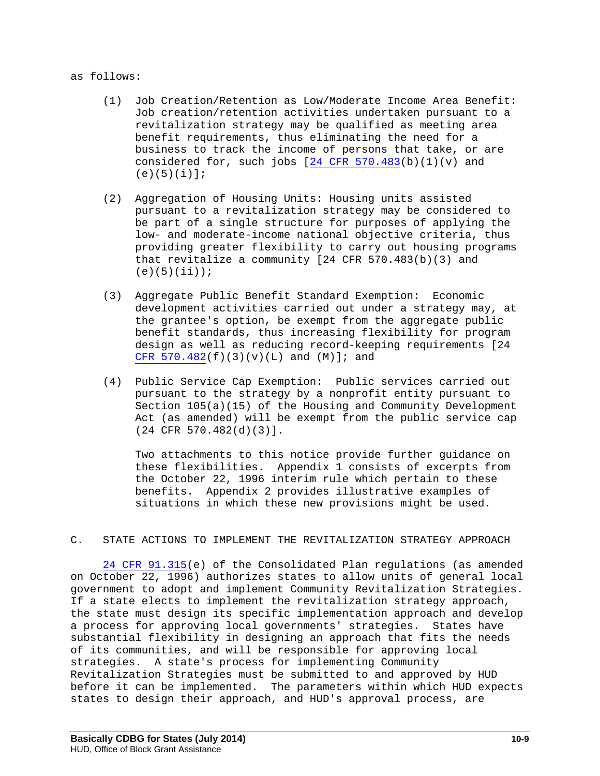### as follows:

- (1) Job Creation/Retention as Low/Moderate Income Area Benefit: Job creation/retention activities undertaken pursuant to a revitalization strategy may be qualified as meeting area benefit requirements, thus eliminating the need for a business to track the income of persons that take, or are considered for, such jobs  $[24$  CFR  $570.483(b)(1)(v)$  and  $(e)(5)(i)];$
- (2) Aggregation of Housing Units: Housing units assisted pursuant to a revitalization strategy may be considered to be part of a single structure for purposes of applying the low- and moderate-income national objective criteria, thus providing greater flexibility to carry out housing programs that revitalize a community  $[24$  CFR 570.483(b)(3) and  $(e)(5)(ii))$ ;
- (3) Aggregate Public Benefit Standard Exemption: Economic development activities carried out under a strategy may, at the grantee's option, be exempt from the aggregate public benefit standards, thus increasing flexibility for program design as well as reducing record-keeping requirements [24 CFR  $570.482(f)(3)(v)(L)$  and  $(M)$ ]; and
- (4) Public Service Cap Exemption: Public services carried out pursuant to the strategy by a nonprofit entity pursuant to Section 105(a)(15) of the Housing and Community Development Act (as amended) will be exempt from the public service cap (24 CFR 570.482(d)(3)].

 Two attachments to this notice provide further guidance on these flexibilities. Appendix 1 consists of excerpts from the October 22, 1996 interim rule which pertain to these benefits. Appendix 2 provides illustrative examples of situations in which these new provisions might be used.

### C. STATE ACTIONS TO IMPLEMENT THE REVITALIZATION STRATEGY APPROACH

 [24 CFR 91.315\(](http://coscda.org/databases/COSCDA%20Disaster%20Recovery%20Toolkit-References-010209/Disaster%20Resources/HUD/documents/hud-consolidated%20plan%20requirements-24%20cfr%20part%2091%20sec%20d.pdf)e) of the Consolidated Plan regulations (as amended on October 22, 1996) authorizes states to allow units of general local government to adopt and implement Community Revitalization Strategies. If a state elects to implement the revitalization strategy approach, the state must design its specific implementation approach and develop a process for approving local governments' strategies. States have substantial flexibility in designing an approach that fits the needs of its communities, and will be responsible for approving local strategies. A state's process for implementing Community Revitalization Strategies must be submitted to and approved by HUD before it can be implemented. The parameters within which HUD expects states to design their approach, and HUD's approval process, are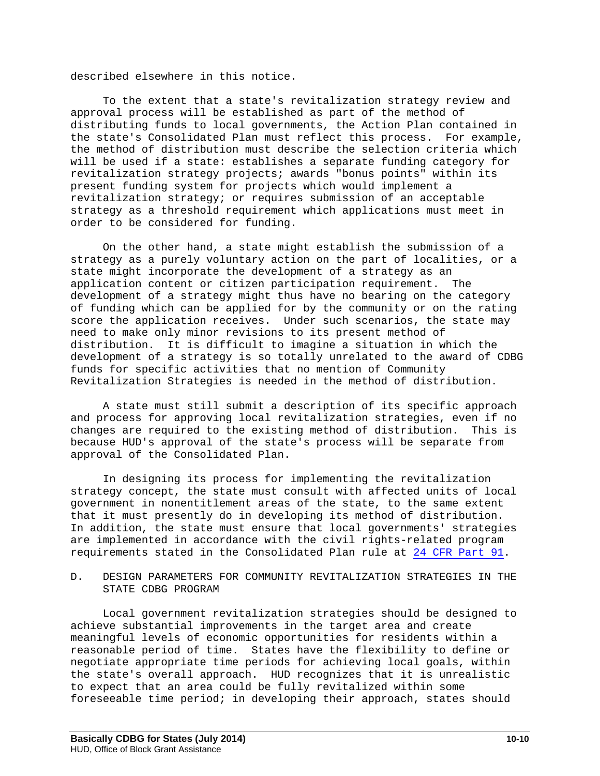described elsewhere in this notice.

 To the extent that a state's revitalization strategy review and approval process will be established as part of the method of distributing funds to local governments, the Action Plan contained in the state's Consolidated Plan must reflect this process. For example, the method of distribution must describe the selection criteria which will be used if a state: establishes a separate funding category for revitalization strategy projects; awards "bonus points" within its present funding system for projects which would implement a revitalization strategy; or requires submission of an acceptable strategy as a threshold requirement which applications must meet in order to be considered for funding.

 On the other hand, a state might establish the submission of a strategy as a purely voluntary action on the part of localities, or a state might incorporate the development of a strategy as an application content or citizen participation requirement. The development of a strategy might thus have no bearing on the category of funding which can be applied for by the community or on the rating score the application receives. Under such scenarios, the state may need to make only minor revisions to its present method of distribution. It is difficult to imagine a situation in which the development of a strategy is so totally unrelated to the award of CDBG funds for specific activities that no mention of Community Revitalization Strategies is needed in the method of distribution.

 A state must still submit a description of its specific approach and process for approving local revitalization strategies, even if no<br>changes are required to the existing method of distribution. This is changes are required to the existing method of distribution. because HUD's approval of the state's process will be separate from approval of the Consolidated Plan.

 In designing its process for implementing the revitalization strategy concept, the state must consult with affected units of local government in nonentitlement areas of the state, to the same extent that it must presently do in developing its method of distribution. In addition, the state must ensure that local governments' strategies are implemented in accordance with the civil rights-related program requirements stated in the Consolidated Plan rule at [24 CFR Part 91.](http://www.hud.gov/offices/cpd/about/conplan/pdf/finalrule_bookview.pdf)

### D. DESIGN PARAMETERS FOR COMMUNITY REVITALIZATION STRATEGIES IN THE STATE CDBG PROGRAM

 Local government revitalization strategies should be designed to achieve substantial improvements in the target area and create meaningful levels of economic opportunities for residents within a reasonable period of time. States have the flexibility to define or negotiate appropriate time periods for achieving local goals, within the state's overall approach. HUD recognizes that it is unrealistic to expect that an area could be fully revitalized within some foreseeable time period; in developing their approach, states should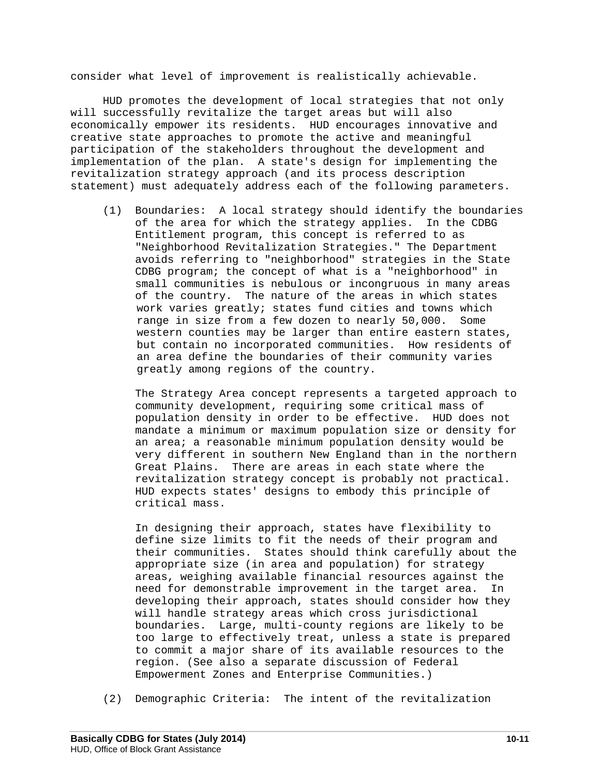consider what level of improvement is realistically achievable.

 HUD promotes the development of local strategies that not only will successfully revitalize the target areas but will also economically empower its residents. HUD encourages innovative and creative state approaches to promote the active and meaningful participation of the stakeholders throughout the development and implementation of the plan. A state's design for implementing the revitalization strategy approach (and its process description statement) must adequately address each of the following parameters.

 (1) Boundaries: A local strategy should identify the boundaries of the area for which the strategy applies. In the CDBG Entitlement program, this concept is referred to as "Neighborhood Revitalization Strategies." The Department avoids referring to "neighborhood" strategies in the State CDBG program; the concept of what is a "neighborhood" in small communities is nebulous or incongruous in many areas of the country. The nature of the areas in which states work varies greatly; states fund cities and towns which range in size from a few dozen to nearly 50,000. Some western counties may be larger than entire eastern states, but contain no incorporated communities. How residents of an area define the boundaries of their community varies greatly among regions of the country.

 The Strategy Area concept represents a targeted approach to community development, requiring some critical mass of population density in order to be effective. HUD does not mandate a minimum or maximum population size or density for an area; a reasonable minimum population density would be very different in southern New England than in the northern Great Plains. There are areas in each state where the revitalization strategy concept is probably not practical. HUD expects states' designs to embody this principle of critical mass.

 In designing their approach, states have flexibility to define size limits to fit the needs of their program and their communities. States should think carefully about the appropriate size (in area and population) for strategy areas, weighing available financial resources against the need for demonstrable improvement in the target area. In developing their approach, states should consider how they will handle strategy areas which cross jurisdictional boundaries. Large, multi-county regions are likely to be too large to effectively treat, unless a state is prepared to commit a major share of its available resources to the region. (See also a separate discussion of Federal Empowerment Zones and Enterprise Communities.)

(2) Demographic Criteria: The intent of the revitalization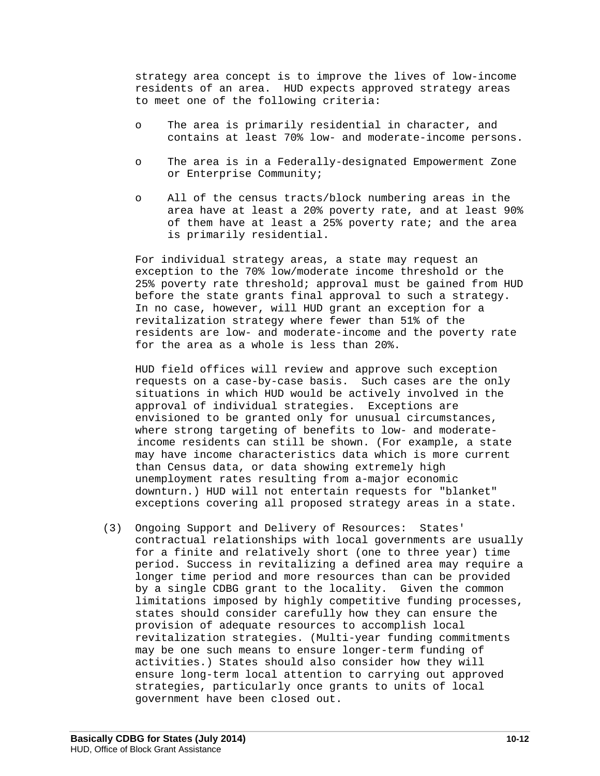strategy area concept is to improve the lives of low-income residents of an area. HUD expects approved strategy areas to meet one of the following criteria:

- o The area is primarily residential in character, and contains at least 70% low- and moderate-income persons.
- o The area is in a Federally-designated Empowerment Zone or Enterprise Community;
- o All of the census tracts/block numbering areas in the area have at least a 20% poverty rate, and at least 90% of them have at least a 25% poverty rate; and the area is primarily residential.

 For individual strategy areas, a state may request an exception to the 70% low/moderate income threshold or the 25% poverty rate threshold; approval must be gained from HUD before the state grants final approval to such a strategy. In no case, however, will HUD grant an exception for a revitalization strategy where fewer than 51% of the residents are low- and moderate-income and the poverty rate for the area as a whole is less than 20%.

 HUD field offices will review and approve such exception requests on a case-by-case basis. Such cases are the only situations in which HUD would be actively involved in the approval of individual strategies. Exceptions are envisioned to be granted only for unusual circumstances, where strong targeting of benefits to low- and moderateincome residents can still be shown. (For example, a state may have income characteristics data which is more current than Census data, or data showing extremely high unemployment rates resulting from a-major economic downturn.) HUD will not entertain requests for "blanket" exceptions covering all proposed strategy areas in a state.

 (3) Ongoing Support and Delivery of Resources: States' contractual relationships with local governments are usually for a finite and relatively short (one to three year) time period. Success in revitalizing a defined area may require a longer time period and more resources than can be provided by a single CDBG grant to the locality. Given the common limitations imposed by highly competitive funding processes, states should consider carefully how they can ensure the provision of adequate resources to accomplish local revitalization strategies. (Multi-year funding commitments may be one such means to ensure longer-term funding of activities.) States should also consider how they will ensure long-term local attention to carrying out approved strategies, particularly once grants to units of local government have been closed out.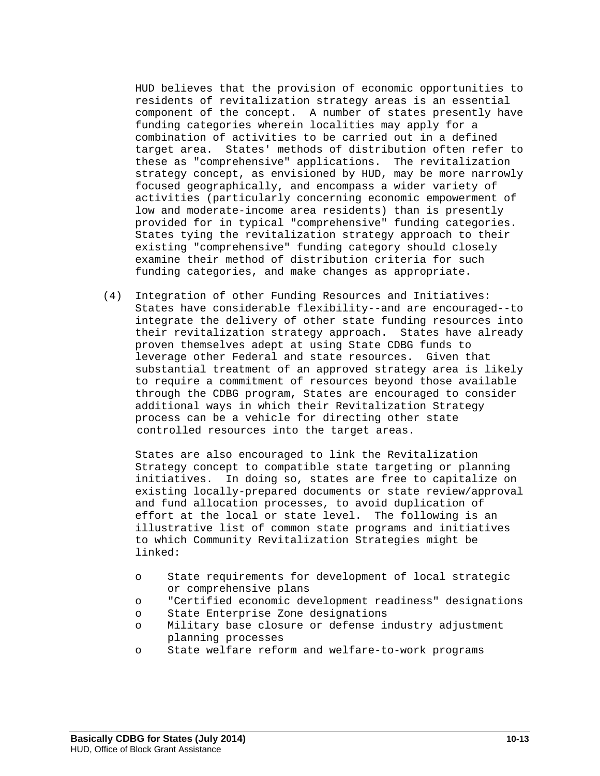HUD believes that the provision of economic opportunities to residents of revitalization strategy areas is an essential component of the concept. A number of states presently have funding categories wherein localities may apply for a combination of activities to be carried out in a defined target area. States' methods of distribution often refer to these as "comprehensive" applications. The revitalization strategy concept, as envisioned by HUD, may be more narrowly focused geographically, and encompass a wider variety of activities (particularly concerning economic empowerment of low and moderate-income area residents) than is presently provided for in typical "comprehensive" funding categories. States tying the revitalization strategy approach to their existing "comprehensive" funding category should closely examine their method of distribution criteria for such funding categories, and make changes as appropriate.

 (4) Integration of other Funding Resources and Initiatives: States have considerable flexibility--and are encouraged--to integrate the delivery of other state funding resources into their revitalization strategy approach. States have already proven themselves adept at using State CDBG funds to leverage other Federal and state resources. Given that substantial treatment of an approved strategy area is likely to require a commitment of resources beyond those available through the CDBG program, States are encouraged to consider additional ways in which their Revitalization Strategy process can be a vehicle for directing other state controlled resources into the target areas.

 States are also encouraged to link the Revitalization Strategy concept to compatible state targeting or planning initiatives. In doing so, states are free to capitalize on existing locally-prepared documents or state review/approval and fund allocation processes, to avoid duplication of effort at the local or state level. The following is an illustrative list of common state programs and initiatives to which Community Revitalization Strategies might be linked:

- o State requirements for development of local strategic or comprehensive plans
- o "Certified economic development readiness" designations
- State Enterprise Zone designations
- o Military base closure or defense industry adjustment planning processes
- o State welfare reform and welfare-to-work programs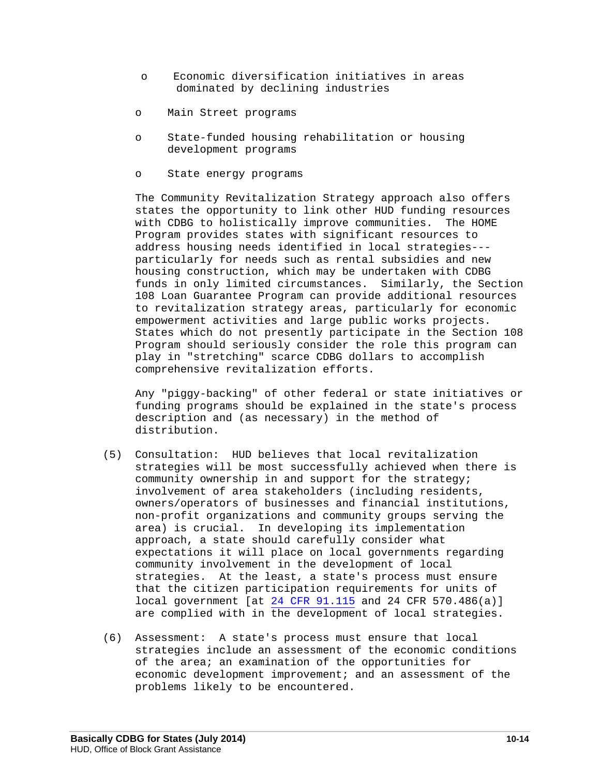- o Economic diversification initiatives in areas dominated by declining industries
- o Main Street programs
- o State-funded housing rehabilitation or housing development programs
- o State energy programs

 The Community Revitalization Strategy approach also offers states the opportunity to link other HUD funding resources with CDBG to holistically improve communities. The HOME Program provides states with significant resources to address housing needs identified in local strategies-- particularly for needs such as rental subsidies and new housing construction, which may be undertaken with CDBG funds in only limited circumstances. Similarly, the Section 108 Loan Guarantee Program can provide additional resources to revitalization strategy areas, particularly for economic empowerment activities and large public works projects. States which do not presently participate in the Section 108 Program should seriously consider the role this program can play in "stretching" scarce CDBG dollars to accomplish comprehensive revitalization efforts.

 Any "piggy-backing" of other federal or state initiatives or funding programs should be explained in the state's process description and (as necessary) in the method of distribution.

- (5) Consultation: HUD believes that local revitalization strategies will be most successfully achieved when there is community ownership in and support for the strategy; involvement of area stakeholders (including residents, owners/operators of businesses and financial institutions, non-profit organizations and community groups serving the area) is crucial. In developing its implementation approach, a state should carefully consider what expectations it will place on local governments regarding community involvement in the development of local strategies. At the least, a state's process must ensure that the citizen participation requirements for units of local government [at [24 CFR 91.115](http://www.gpo.gov/fdsys/pkg/CFR-2011-title24-vol1/pdf/CFR-2011-title24-vol1-sec91-115.pdf) and 24 CFR 570.486(a)] are complied with in the development of local strategies.
- (6) Assessment: A state's process must ensure that local strategies include an assessment of the economic conditions of the area; an examination of the opportunities for economic development improvement; and an assessment of the problems likely to be encountered.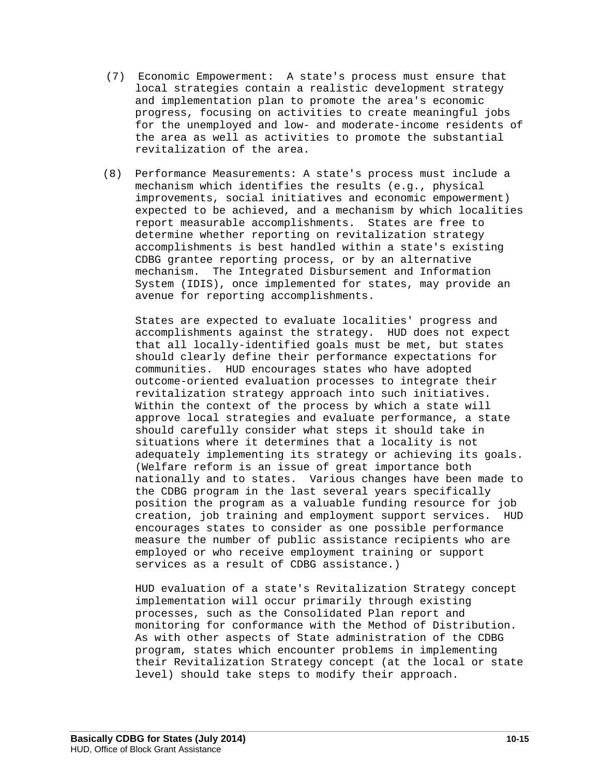- (7) Economic Empowerment: A state's process must ensure that local strategies contain a realistic development strategy and implementation plan to promote the area's economic progress, focusing on activities to create meaningful jobs for the unemployed and low- and moderate-income residents of the area as well as activities to promote the substantial revitalization of the area.
- (8) Performance Measurements: A state's process must include a mechanism which identifies the results (e.g., physical improvements, social initiatives and economic empowerment) expected to be achieved, and a mechanism by which localities report measurable accomplishments. States are free to determine whether reporting on revitalization strategy accomplishments is best handled within a state's existing CDBG grantee reporting process, or by an alternative mechanism. The Integrated Disbursement and Information System (IDIS), once implemented for states, may provide an avenue for reporting accomplishments.

 States are expected to evaluate localities' progress and accomplishments against the strategy. HUD does not expect that all locally-identified goals must be met, but states should clearly define their performance expectations for communities. HUD encourages states who have adopted outcome-oriented evaluation processes to integrate their revitalization strategy approach into such initiatives. Within the context of the process by which a state will approve local strategies and evaluate performance, a state should carefully consider what steps it should take in situations where it determines that a locality is not adequately implementing its strategy or achieving its goals. (Welfare reform is an issue of great importance both nationally and to states. Various changes have been made to the CDBG program in the last several years specifically position the program as a valuable funding resource for job creation, job training and employment support services. HUD encourages states to consider as one possible performance measure the number of public assistance recipients who are employed or who receive employment training or support services as a result of CDBG assistance.)

 HUD evaluation of a state's Revitalization Strategy concept implementation will occur primarily through existing processes, such as the Consolidated Plan report and monitoring for conformance with the Method of Distribution. As with other aspects of State administration of the CDBG program, states which encounter problems in implementing their Revitalization Strategy concept (at the local or state level) should take steps to modify their approach.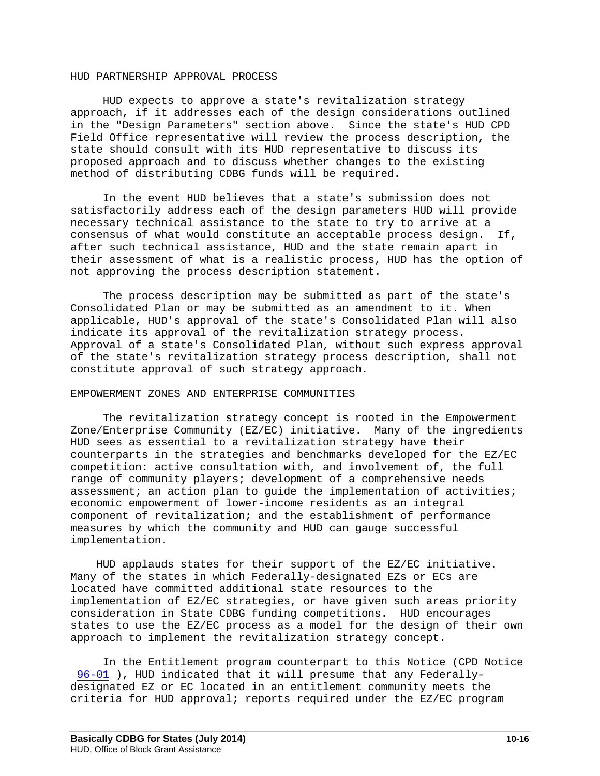### HUD PARTNERSHIP APPROVAL PROCESS

 HUD expects to approve a state's revitalization strategy approach, if it addresses each of the design considerations outlined in the "Design Parameters" section above. Since the state's HUD CPD Field Office representative will review the process description, the state should consult with its HUD representative to discuss its proposed approach and to discuss whether changes to the existing method of distributing CDBG funds will be required.

 In the event HUD believes that a state's submission does not satisfactorily address each of the design parameters HUD will provide necessary technical assistance to the state to try to arrive at a consensus of what would constitute an acceptable process design. If, after such technical assistance, HUD and the state remain apart in their assessment of what is a realistic process, HUD has the option of not approving the process description statement.

 The process description may be submitted as part of the state's Consolidated Plan or may be submitted as an amendment to it. When applicable, HUD's approval of the state's Consolidated Plan will also indicate its approval of the revitalization strategy process. Approval of a state's Consolidated Plan, without such express approval of the state's revitalization strategy process description, shall not constitute approval of such strategy approach.

#### EMPOWERMENT ZONES AND ENTERPRISE COMMUNITIES

 The revitalization strategy concept is rooted in the Empowerment Zone/Enterprise Community (EZ/EC) initiative. Many of the ingredients HUD sees as essential to a revitalization strategy have their counterparts in the strategies and benchmarks developed for the EZ/EC competition: active consultation with, and involvement of, the full range of community players; development of a comprehensive needs assessment; an action plan to quide the implementation of activities; economic empowerment of lower-income residents as an integral component of revitalization; and the establishment of performance measures by which the community and HUD can gauge successful implementation.

 HUD applauds states for their support of the EZ/EC initiative. Many of the states in which Federally-designated EZs or ECs are located have committed additional state resources to the implementation of EZ/EC strategies, or have given such areas priority consideration in State CDBG funding competitions. HUD encourages states to use the EZ/EC process as a model for the design of their own approach to implement the revitalization strategy concept.

 In the Entitlement program counterpart to this Notice (CPD Notice [96-01](https://www.onecpd.info/resource/2161/notice-cpd-96-01-cdbg-neighborhood-revitalization-strategies/) ), HUD indicated that it will presume that any Federallydesignated EZ or EC located in an entitlement community meets the criteria for HUD approval; reports required under the EZ/EC program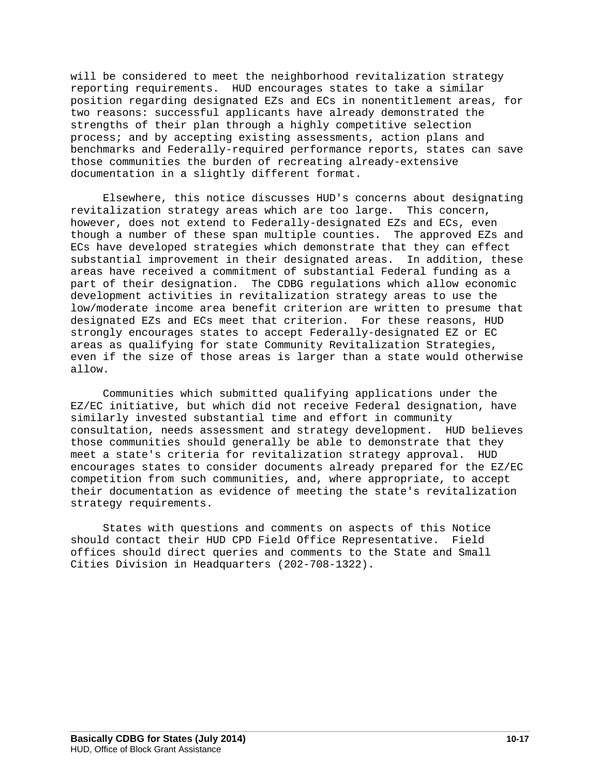will be considered to meet the neighborhood revitalization strategy reporting requirements. HUD encourages states to take a similar position regarding designated EZs and ECs in nonentitlement areas, for two reasons: successful applicants have already demonstrated the strengths of their plan through a highly competitive selection process; and by accepting existing assessments, action plans and benchmarks and Federally-required performance reports, states can save those communities the burden of recreating already-extensive documentation in a slightly different format.

 Elsewhere, this notice discusses HUD's concerns about designating revitalization strategy areas which are too large. This concern, however, does not extend to Federally-designated EZs and ECs, even though a number of these span multiple counties. The approved EZs and ECs have developed strategies which demonstrate that they can effect substantial improvement in their designated areas. In addition, these areas have received a commitment of substantial Federal funding as a part of their designation. The CDBG regulations which allow economic development activities in revitalization strategy areas to use the low/moderate income area benefit criterion are written to presume that designated EZs and ECs meet that criterion. For these reasons, HUD strongly encourages states to accept Federally-designated EZ or EC areas as qualifying for state Community Revitalization Strategies, even if the size of those areas is larger than a state would otherwise allow.

 Communities which submitted qualifying applications under the EZ/EC initiative, but which did not receive Federal designation, have similarly invested substantial time and effort in community consultation, needs assessment and strategy development. HUD believes those communities should generally be able to demonstrate that they meet a state's criteria for revitalization strategy approval. HUD encourages states to consider documents already prepared for the EZ/EC competition from such communities, and, where appropriate, to accept their documentation as evidence of meeting the state's revitalization strategy requirements.

 States with questions and comments on aspects of this Notice should contact their HUD CPD Field Office Representative. Field offices should direct queries and comments to the State and Small Cities Division in Headquarters (202-708-1322).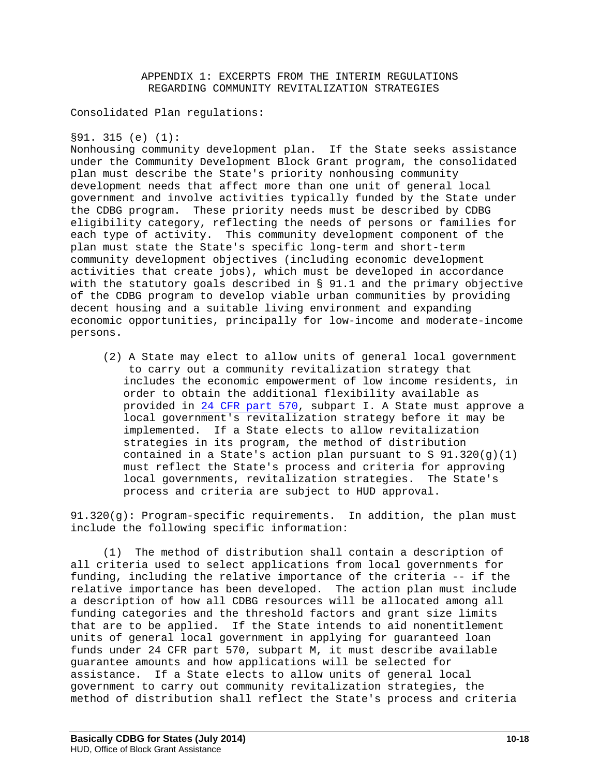## APPENDIX 1: EXCERPTS FROM THE INTERIM REGULATIONS REGARDING COMMUNITY REVITALIZATION STRATEGIES

### Consolidated Plan regulations:

### §91. 315 (e) (1):

Nonhousing community development plan. If the State seeks assistance under the Community Development Block Grant program, the consolidated plan must describe the State's priority nonhousing community development needs that affect more than one unit of general local government and involve activities typically funded by the State under the CDBG program. These priority needs must be described by CDBG eligibility category, reflecting the needs of persons or families for each type of activity. This community development component of the plan must state the State's specific long-term and short-term community development objectives (including economic development activities that create jobs), which must be developed in accordance with the statutory goals described in § 91.1 and the primary objective of the CDBG program to develop viable urban communities by providing decent housing and a suitable living environment and expanding economic opportunities, principally for low-income and moderate-income persons.

 (2) A State may elect to allow units of general local government to carry out a community revitalization strategy that includes the economic empowerment of low income residents, in order to obtain the additional flexibility available as provided in [24 CFR part 570,](http://www.ecfr.gov/cgi-bin/text-idx?c=ecfr&rgn=div5&view=text&node=24:3.1.1.3.4&idno=24#24:3.1.1.3.4.9) subpart I. A State must approve a local government's revitalization strategy before it may be implemented. If a State elects to allow revitalization strategies in its program, the method of distribution contained in a State's action plan pursuant to S 91.320(g)(1) must reflect the State's process and criteria for approving local governments, revitalization strategies. The State's process and criteria are subject to HUD approval.

91.320(g): Program-specific requirements. In addition, the plan must include the following specific information:

 (1) The method of distribution shall contain a description of all criteria used to select applications from local governments for funding, including the relative importance of the criteria -- if the relative importance has been developed. The action plan must include a description of how all CDBG resources will be allocated among all funding categories and the threshold factors and grant size limits that are to be applied. If the State intends to aid nonentitlement units of general local government in applying for guaranteed loan funds under 24 CFR part 570, subpart M, it must describe available guarantee amounts and how applications will be selected for assistance. If a State elects to allow units of general local government to carry out community revitalization strategies, the method of distribution shall reflect the State's process and criteria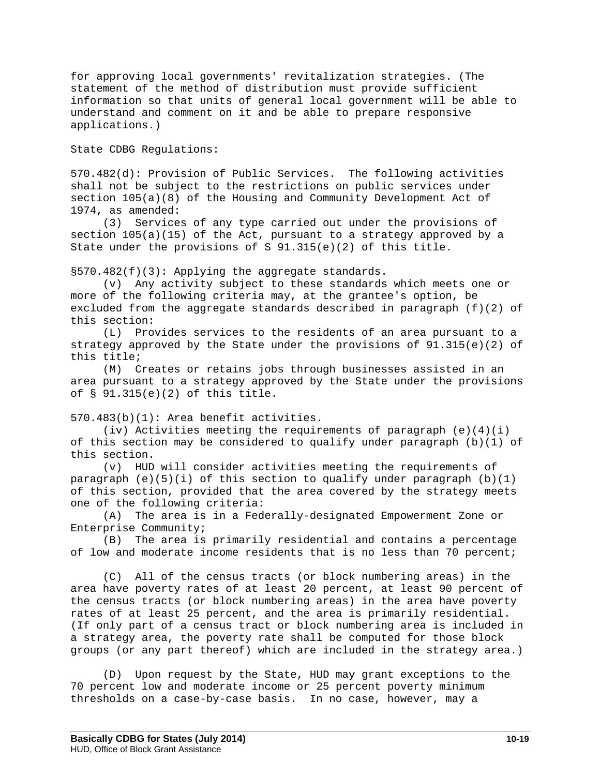for approving local governments' revitalization strategies. (The statement of the method of distribution must provide sufficient information so that units of general local government will be able to understand and comment on it and be able to prepare responsive applications.)

State CDBG Regulations:

570.482(d): Provision of Public Services. The following activities shall not be subject to the restrictions on public services under section 105(a)(8) of the Housing and Community Development Act of 1974, as amended:<br>(3) Service

Services of any type carried out under the provisions of section 105(a)(15) of the Act, pursuant to a strategy approved by a State under the provisions of S 91.315(e)(2) of this title.

 $\S 570.482(f)(3)$ : Applying the aggregate standards.

 (v) Any activity subject to these standards which meets one or more of the following criteria may, at the grantee's option, be excluded from the aggregate standards described in paragraph  $(f)(2)$  of this section:<br>(L) Pro

Provides services to the residents of an area pursuant to a strategy approved by the State under the provisions of  $91.315(e)(2)$  of this title;

 (M) Creates or retains jobs through businesses assisted in an area pursuant to a strategy approved by the State under the provisions of § 91.315(e)(2) of this title.

570.483(b)(1): Area benefit activities.

(iv) Activities meeting the requirements of paragraph  $(e)(4)(i)$ of this section may be considered to qualify under paragraph  $(b)(1)$  of this section.

 (v) HUD will consider activities meeting the requirements of paragraph  $(e)(5)(i)$  of this section to qualify under paragraph  $(b)(1)$ of this section, provided that the area covered by the strategy meets one of the following criteria:<br>(A) The area is in a Fed

The area is in a Federally-designated Empowerment Zone or Enterprise Community;

 (B) The area is primarily residential and contains a percentage of low and moderate income residents that is no less than 70 percent;

 (C) All of the census tracts (or block numbering areas) in the area have poverty rates of at least 20 percent, at least 90 percent of the census tracts (or block numbering areas) in the area have poverty rates of at least 25 percent, and the area is primarily residential. (If only part of a census tract or block numbering area is included in a strategy area, the poverty rate shall be computed for those block groups (or any part thereof) which are included in the strategy area.)

 (D) Upon request by the State, HUD may grant exceptions to the 70 percent low and moderate income or 25 percent poverty minimum thresholds on a case-by-case basis. In no case, however, may a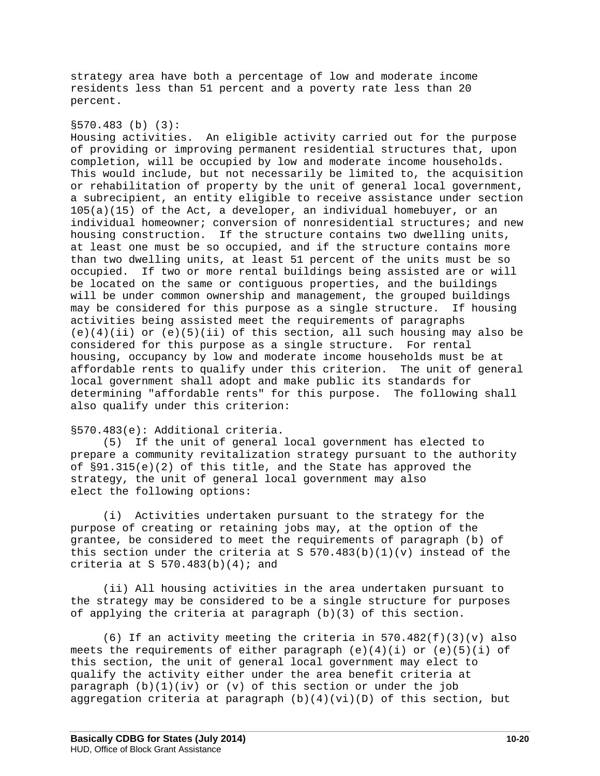strategy area have both a percentage of low and moderate income residents less than 51 percent and a poverty rate less than 20 percent.

### §570.483 (b) (3):

Housing activities. An eligible activity carried out for the purpose of providing or improving permanent residential structures that, upon completion, will be occupied by low and moderate income households. This would include, but not necessarily be limited to, the acquisition or rehabilitation of property by the unit of general local government, a subrecipient, an entity eligible to receive assistance under section 105(a)(15) of the Act, a developer, an individual homebuyer, or an individual homeowner; conversion of nonresidential structures; and new housing construction. If the structure contains two dwelling units, at least one must be so occupied, and if the structure contains more than two dwelling units, at least 51 percent of the units must be so occupied. If two or more rental buildings being assisted are or will be located on the same or contiguous properties, and the buildings will be under common ownership and management, the grouped buildings may be considered for this purpose as a single structure. If housing activities being assisted meet the requirements of paragraphs  $(e)(4)(ii)$  or  $(e)(5)(ii)$  of this section, all such housing may also be considered for this purpose as a single structure. For rental housing, occupancy by low and moderate income households must be at affordable rents to qualify under this criterion. The unit of general local government shall adopt and make public its standards for determining "affordable rents" for this purpose. The following shall also qualify under this criterion:

#### §570.483(e): Additional criteria.

 (5) If the unit of general local government has elected to prepare a community revitalization strategy pursuant to the authority of §91.315(e)(2) of this title, and the State has approved the strategy, the unit of general local government may also elect the following options:

 (i) Activities undertaken pursuant to the strategy for the purpose of creating or retaining jobs may, at the option of the grantee, be considered to meet the requirements of paragraph (b) of this section under the criteria at S  $570.483(b)(1)(v)$  instead of the criteria at S  $570.483(b)(4)$ ; and

 (ii) All housing activities in the area undertaken pursuant to the strategy may be considered to be a single structure for purposes of applying the criteria at paragraph (b)(3) of this section.

(6) If an activity meeting the criteria in  $570.482(f)(3)(v)$  also meets the requirements of either paragraph  $(e)(4)(i)$  or  $(e)(5)(i)$  of this section, the unit of general local government may elect to qualify the activity either under the area benefit criteria at paragraph  $(b)(1)(iv)$  or  $(v)$  of this section or under the job aggregation criteria at paragraph  $(b)(4)(vi)(D)$  of this section, but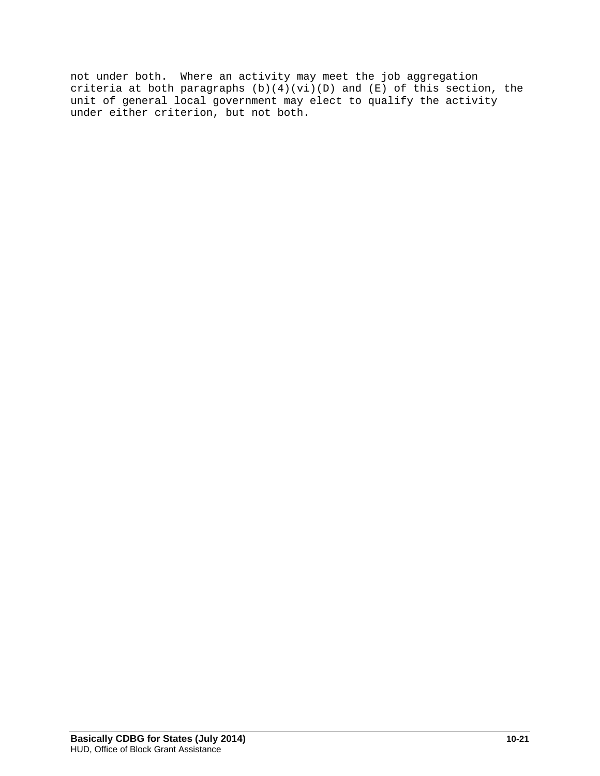not under both. Where an activity may meet the job aggregation criteria at both paragraphs  $(b)(4)(vi)(D)$  and  $(E)$  of this section, the unit of general local government may elect to qualify the activity under either criterion, but not both.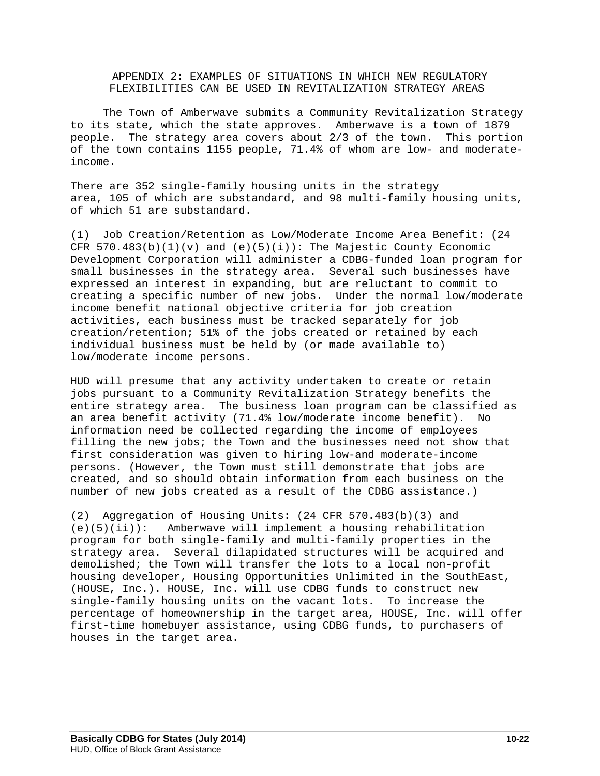APPENDIX 2: EXAMPLES OF SITUATIONS IN WHICH NEW REGULATORY FLEXIBILITIES CAN BE USED IN REVITALIZATION STRATEGY AREAS

 The Town of Amberwave submits a Community Revitalization Strategy to its state, which the state approves. Amberwave is a town of 1879 people. The strategy area covers about 2/3 of the town. This portion of the town contains 1155 people, 71.4% of whom are low- and moderateincome.

There are 352 single-family housing units in the strategy area, 105 of which are substandard, and 98 multi-family housing units, of which 51 are substandard.

(1) Job Creation/Retention as Low/Moderate Income Area Benefit: (24 CFR  $570.483(b)(1)(v)$  and  $(e)(5)(i))$ : The Majestic County Economic Development Corporation will administer a CDBG-funded loan program for small businesses in the strategy area. Several such businesses have expressed an interest in expanding, but are reluctant to commit to creating a specific number of new jobs. Under the normal low/moderate income benefit national objective criteria for job creation activities, each business must be tracked separately for job creation/retention; 51% of the jobs created or retained by each individual business must be held by (or made available to) low/moderate income persons.

HUD will presume that any activity undertaken to create or retain jobs pursuant to a Community Revitalization Strategy benefits the entire strategy area. The business loan program can be classified as an area benefit activity (71.4% low/moderate income benefit). No information need be collected regarding the income of employees filling the new jobs; the Town and the businesses need not show that first consideration was given to hiring low-and moderate-income persons. (However, the Town must still demonstrate that jobs are created, and so should obtain information from each business on the number of new jobs created as a result of the CDBG assistance.)

(2) Aggregation of Housing Units:  $(24$  CFR 570.483(b)(3) and  $(e)(5)(ii)$ : Amberwave will implement a housing rehabilitation Amberwave will implement a housing rehabilitation program for both single-family and multi-family properties in the strategy area. Several dilapidated structures will be acquired and demolished; the Town will transfer the lots to a local non-profit housing developer, Housing Opportunities Unlimited in the SouthEast, (HOUSE, Inc.). HOUSE, Inc. will use CDBG funds to construct new single-family housing units on the vacant lots. To increase the percentage of homeownership in the target area, HOUSE, Inc. will offer first-time homebuyer assistance, using CDBG funds, to purchasers of houses in the target area.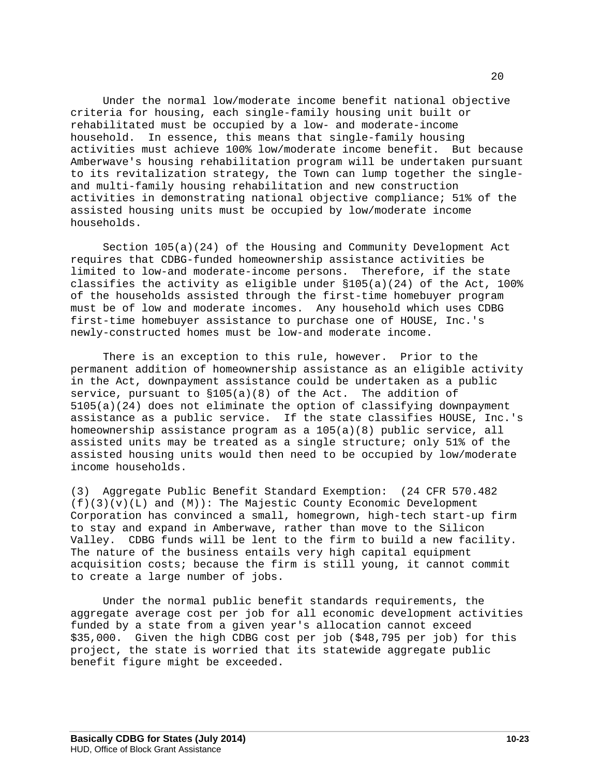Under the normal low/moderate income benefit national objective criteria for housing, each single-family housing unit built or rehabilitated must be occupied by a low- and moderate-income household. In essence, this means that single-family housing activities must achieve 100% low/moderate income benefit. But because Amberwave's housing rehabilitation program will be undertaken pursuant to its revitalization strategy, the Town can lump together the singleand multi-family housing rehabilitation and new construction activities in demonstrating national objective compliance; 51% of the assisted housing units must be occupied by low/moderate income households.

 Section 105(a)(24) of the Housing and Community Development Act requires that CDBG-funded homeownership assistance activities be limited to low-and moderate-income persons. Therefore, if the state classifies the activity as eligible under  $$105(a)(24)$  of the Act, 100% of the households assisted through the first-time homebuyer program must be of low and moderate incomes. Any household which uses CDBG first-time homebuyer assistance to purchase one of HOUSE, Inc.'s newly-constructed homes must be low-and moderate income.

 There is an exception to this rule, however. Prior to the permanent addition of homeownership assistance as an eligible activity in the Act, downpayment assistance could be undertaken as a public service, pursuant to  $$105(a)(8)$  of the Act. The addition of 5105(a)(24) does not eliminate the option of classifying downpayment assistance as a public service. If the state classifies HOUSE, Inc.'s homeownership assistance program as a 105(a)(8) public service, all assisted units may be treated as a single structure; only 51% of the assisted housing units would then need to be occupied by low/moderate income households.

(3) Aggregate Public Benefit Standard Exemption: (24 CFR 570.482  $(f)(3)(v)(L)$  and  $(M))$ : The Majestic County Economic Development Corporation has convinced a small, homegrown, high-tech start-up firm to stay and expand in Amberwave, rather than move to the Silicon Valley. CDBG funds will be lent to the firm to build a new facility. The nature of the business entails very high capital equipment acquisition costs; because the firm is still young, it cannot commit to create a large number of jobs.

 Under the normal public benefit standards requirements, the aggregate average cost per job for all economic development activities funded by a state from a given year's allocation cannot exceed \$35,000. Given the high CDBG cost per job (\$48,795 per job) for this project, the state is worried that its statewide aggregate public benefit figure might be exceeded.